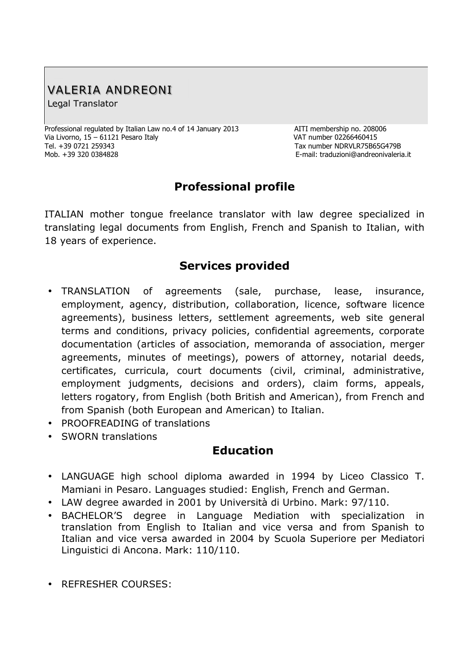# VALERIA ANDREONI

Legal Translator

Professional regulated by Italian Law no.4 of 14 January 2013 AITI membership no. 208006 Via Livorno, 15 – 61121 Pesaro Italy Van Annumber 02266460415 Tel. +39 0721 259343 Tax number NDRVLR75B65G479B Mob. +39 320 0384828 E-mail: traduzioni@andreonivaleria.it

## **Professional profile**

ITALIAN mother tongue freelance translator with law degree specialized in translating legal documents from English, French and Spanish to Italian, with 18 years of experience.

#### **Services provided**

- TRANSLATION of agreements (sale, purchase, lease, insurance, employment, agency, distribution, collaboration, licence, software licence agreements), business letters, settlement agreements, web site general terms and conditions, privacy policies, confidential agreements, corporate documentation (articles of association, memoranda of association, merger agreements, minutes of meetings), powers of attorney, notarial deeds, certificates, curricula, court documents (civil, criminal, administrative, employment judgments, decisions and orders), claim forms, appeals, letters rogatory, from English (both British and American), from French and from Spanish (both European and American) to Italian.
- PROOFREADING of translations
- SWORN translations

#### **Education**

- LANGUAGE high school diploma awarded in 1994 by Liceo Classico T. Mamiani in Pesaro. Languages studied: English, French and German.
- LAW degree awarded in 2001 by Università di Urbino. Mark: 97/110.
- BACHELOR'S degree in Language Mediation with specialization in translation from English to Italian and vice versa and from Spanish to Italian and vice versa awarded in 2004 by Scuola Superiore per Mediatori Linguistici di Ancona. Mark: 110/110.
- REFRESHER COURSES: